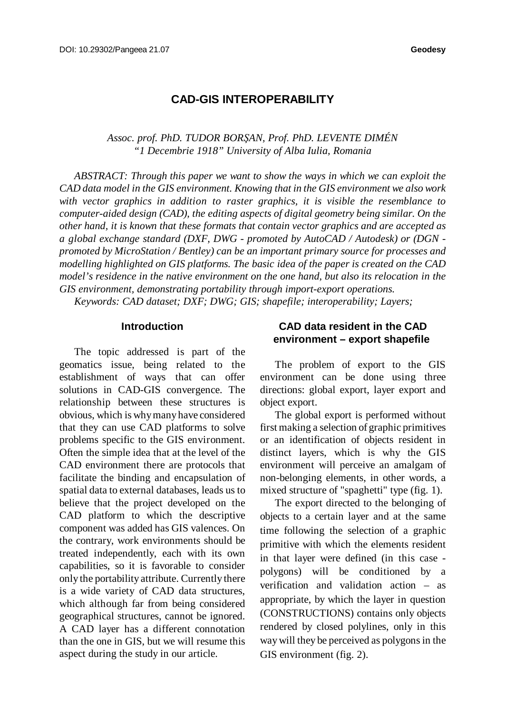# **CAD-GIS INTEROPERABILITY**

### *Assoc. prof. PhD. TUDOR BORŞAN, Prof. PhD. LEVENTE DIMÉN "1 Decembrie 1918" University of Alba Iulia, Romania*

*ABSTRACT: Through this paper we want to show the ways in which we can exploit the CAD data model in the GIS environment. Knowing that in the GIS environment we also work with vector graphics in addition to raster graphics, it is visible the resemblance to computer-aided design (CAD), the editing aspects of digital geometry being similar. On the other hand, it is known that these formats that contain vector graphics and are accepted as a global exchange standard (DXF, DWG - promoted by AutoCAD / Autodesk) or (DGN promoted by MicroStation / Bentley) can be an important primary source for processes and modelling highlighted on GIS platforms. The basic idea of the paper is created on the CAD model's residence in the native environment on the one hand, but also its relocation in the GIS environment, demonstrating portability through import-export operations.*

*Keywords: CAD dataset; DXF; DWG; GIS; shapefile; interoperability; Layers;*

#### **Introduction**

The topic addressed is part of the geomatics issue, being related to the establishment of ways that can offer solutions in CAD-GIS convergence. The relationship between these structures is obvious, which is whymanyhave considered that they can use CAD platforms to solve problems specific to the GIS environment. Often the simple idea that at the level of the CAD environment there are protocols that facilitate the binding and encapsulation of spatial data to external databases, leads us to believe that the project developed on the CAD platform to which the descriptive component was added has GIS valences. On the contrary, work environments should be treated independently, each with its own capabilities, so it is favorable to consider only the portability attribute. Currently there is a wide variety of CAD data structures, which although far from being considered geographical structures, cannot be ignored. A CAD layer has a different connotation than the one in GIS, but we will resume this aspect during the study in our article.

## **CAD data resident in the CAD environment – export shapefile**

The problem of export to the GIS environment can be done using three directions: global export, layer export and object export.

The global export is performed without first making a selection of graphic primitives or an identification of objects resident in distinct layers, which is why the GIS environment will perceive an amalgam of non-belonging elements, in other words, a mixed structure of "spaghetti" type (fig. 1).

The export directed to the belonging of objects to a certain layer and at the same time following the selection of a graphic primitive with which the elements resident in that layer were defined (in this case polygons) will be conditioned by a verification and validation action – as appropriate, by which the layer in question (CONSTRUCTIONS) contains only objects rendered by closed polylines, only in this way will they be perceived as polygons in the GIS environment (fig. 2).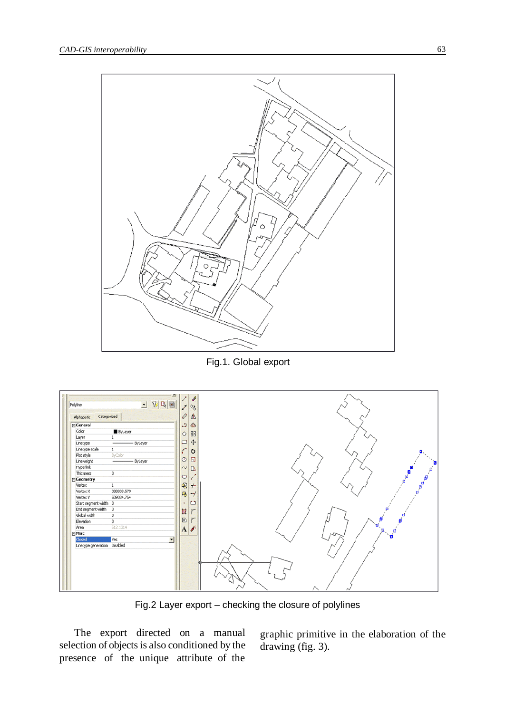

Fig.1. Global export

| Polyline<br>Categorized<br>Alphabetic                                                                                                                                                                                                                                                                              | $V$ $R$ $E$<br>$\blacksquare$                                                                                                                                                     | $\mathcal{A}$<br>$\infty$<br>Ø<br>⚠                                                                                                                                                                                 |                                                                                                                        |
|--------------------------------------------------------------------------------------------------------------------------------------------------------------------------------------------------------------------------------------------------------------------------------------------------------------------|-----------------------------------------------------------------------------------------------------------------------------------------------------------------------------------|---------------------------------------------------------------------------------------------------------------------------------------------------------------------------------------------------------------------|------------------------------------------------------------------------------------------------------------------------|
| General<br>Color<br>Layer<br>Linetype<br>Linetype scale<br>Plot style<br>Lineweight<br><b>Hyperlink</b><br>Thickness<br>□ Geometry<br>Vertex<br>Vertex X<br>Vertex Y<br>Start segment width 0<br>End segment width<br>Global width<br>Elevation<br>Area<br><b>□ Misc</b><br>Closed<br>Linetype generation Disabled | ByLayer<br>ByLayer<br>1<br>ByColor<br>ByLayer<br>$\overline{0}$<br>$\mathbf{1}$<br>388809.579<br>509034.754<br>$\overline{0}$<br>$\boxed{0}$<br>$\overline{0}$<br>512.1314<br>Yes | Ô<br>د<br>88<br>$\Diamond$<br>$\ddot{+}$<br>Ξ<br>r<br>$\circ$<br>$\Box$<br>$\circ$<br>$\Box$<br>$\sim$<br>$\circ$<br>喝<br>$+$<br>马<br>$-\gamma$<br>$\Box$<br>٠<br>霴<br>$\sqrt{2}$<br>$\boxed{\odot}$<br>r<br>A<br>킈 | $\begin{matrix} \mathbf{a} & \mathbf{b} \\ \mathbf{c} & \mathbf{c} \\ \mathbf{c} & \mathbf{d} \end{matrix}$<br>ø<br>'n |

Fig.2 Layer export – checking the closure of polylines

The export directed on a manual selection of objects is also conditioned by the presence of the unique attribute of the

graphic primitive in the elaboration of the drawing (fig. 3).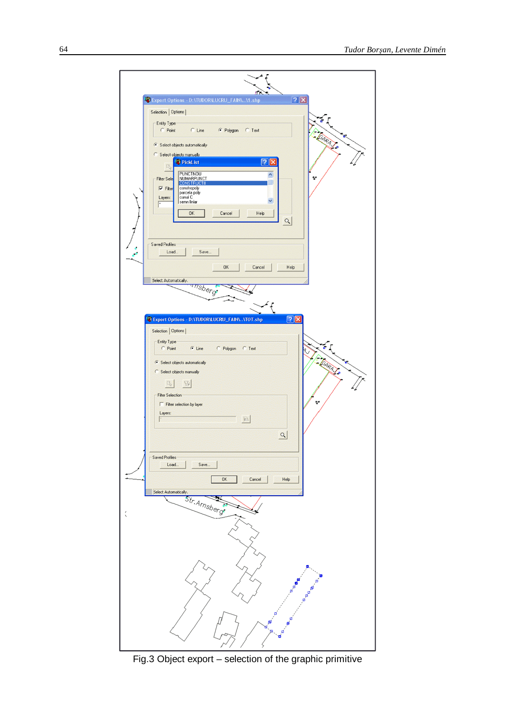

Fig.3 Object export – selection of the graphic primitive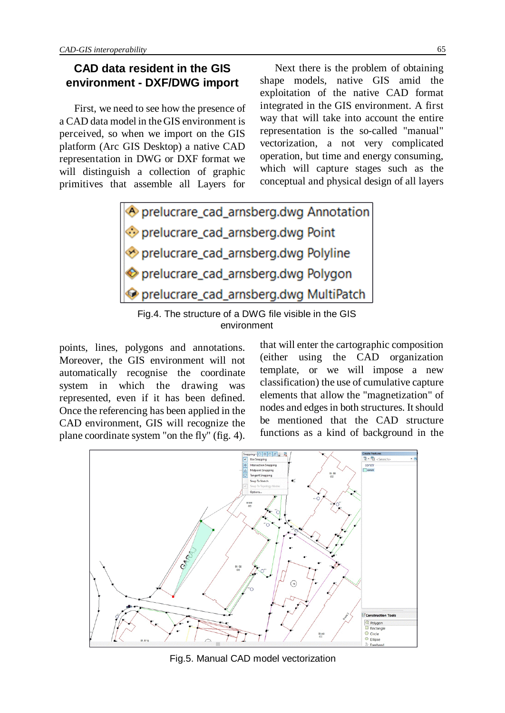# **CAD data resident in the GIS environment - DXF/DWG import**

First, we need to see how the presence of a CAD data model in the GIS environment is perceived, so when we import on the GIS platform (Arc GIS Desktop) a native CAD representation in DWG or DXF format we will distinguish a collection of graphic primitives that assemble all Layers for

Next there is the problem of obtaining shape models, native GIS amid the exploitation of the native CAD format integrated in the GIS environment. A first way that will take into account the entire representation is the so-called "manual" vectorization, a not very complicated operation, but time and energy consuming, which will capture stages such as the conceptual and physical design of all layers

Oprelucrare\_cad\_arnsberg.dwg Annotation prelucrare\_cad\_arnsberg.dwg Point prelucrare\_cad\_arnsberg.dwg Polyline prelucrare cad arnsberg.dwg Polygon Oprelucrare\_cad\_arnsberg.dwg MultiPatch

Fig.4. The structure of a DWG file visible in the GIS environment

points, lines, polygons and annotations. Moreover, the GIS environment will not automatically recognise the coordinate system in which the drawing was represented, even if it has been defined. Once the referencing has been applied in the CAD environment, GIS will recognize the plane coordinate system "on the fly" (fig. 4).

that will enter the cartographic composition (either using the CAD organization template, or we will impose a new classification) the use of cumulative capture elements that allow the "magnetization" of nodes and edges in both structures. It should be mentioned that the CAD structure functions as a kind of background in the



Fig.5. Manual CAD model vectorization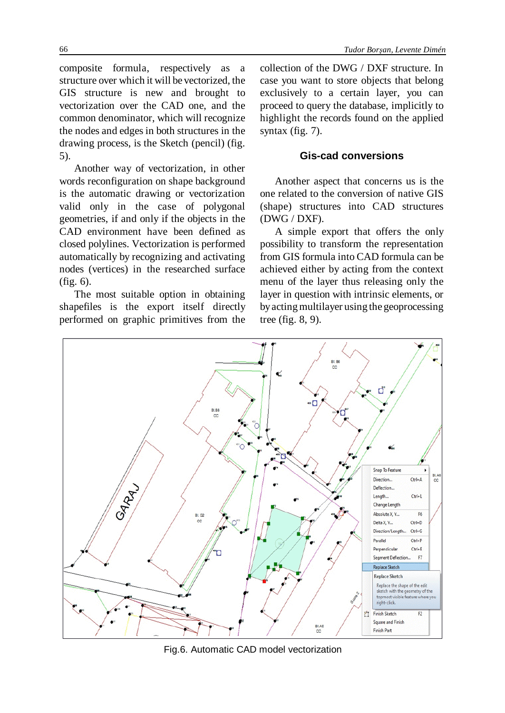composite formula, respectively as a structure over which it will be vectorized, the GIS structure is new and brought to vectorization over the CAD one, and the common denominator, which will recognize the nodes and edges in both structures in the drawing process, is the Sketch (pencil) (fig. 5).

Another way of vectorization, in other words reconfiguration on shape background is the automatic drawing or vectorization valid only in the case of polygonal geometries, if and only if the objects in the CAD environment have been defined as closed polylines. Vectorization is performed automatically by recognizing and activating nodes (vertices) in the researched surface (fig. 6).

The most suitable option in obtaining shapefiles is the export itself directly performed on graphic primitives from the

collection of the DWG / DXF structure. In case you want to store objects that belong exclusively to a certain layer, you can proceed to query the database, implicitly to highlight the records found on the applied syntax (fig. 7).

# **Gis-cad conversions**

Another aspect that concerns us is the one related to the conversion of native GIS (shape) structures into CAD structures (DWG / DXF).

A simple export that offers the only possibility to transform the representation from GIS formula into CAD formula can be achieved either by acting from the context menu of the layer thus releasing only the layer in question with intrinsic elements, or byactingmultilayer using the geoprocessing tree (fig. 8, 9).



Fig.6. Automatic CAD model vectorization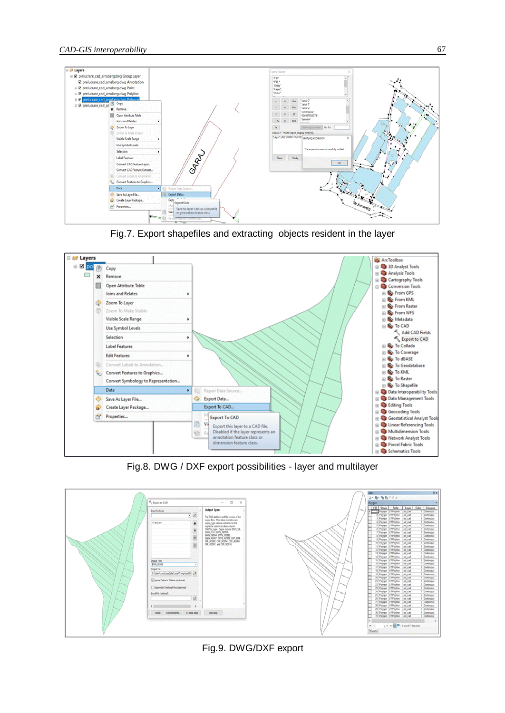

Fig.7. Export shapefiles and extracting objects resident in the layer



Fig.8. DWG / DXF export possibilities - layer and multilayer



Fig.9. DWG/DXF export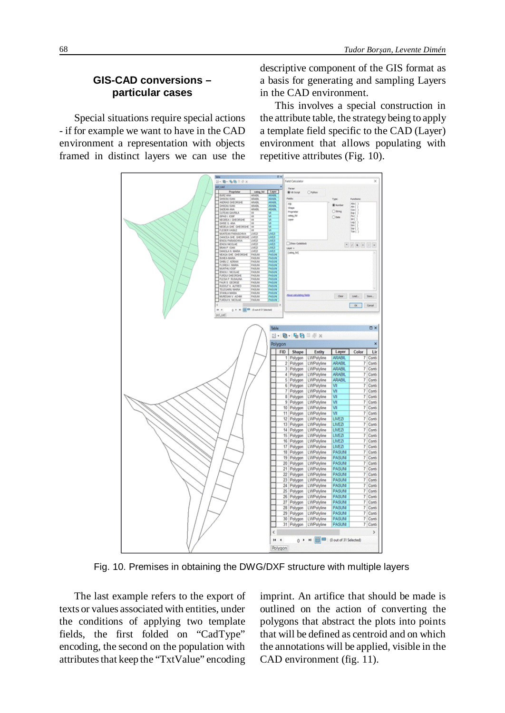### **GIS-CAD conversions – particular cases**

Special situations require special actions - if for example we want to have in the CAD environment a representation with objects framed in distinct layers we can use the

descriptive component of the GIS format as a basis for generating and sampling Layers in the CAD environment.

This involves a special construction in the attribute table, the strategybeing to apply a template field specific to the CAD (Layer) environment that allows populating with repetitive attributes (Fig. 10).



Fig. 10. Premises in obtaining the DWG/DXF structure with multiple layers

The last example refers to the export of texts or values associated with entities, under the conditions of applying two template fields, the first folded on "CadType" encoding, the second on the population with attributes that keep the "TxtValue" encoding imprint. An artifice that should be made is outlined on the action of converting the polygons that abstract the plots into points that will be defined as centroid and on which the annotations will be applied, visible in the CAD environment (fig. 11).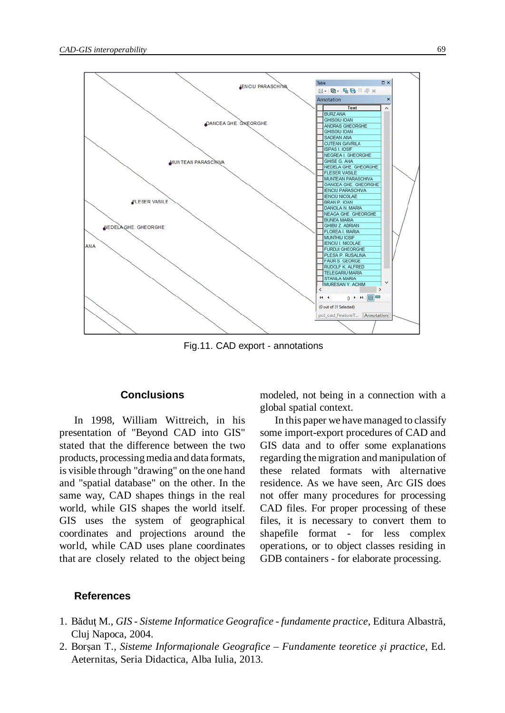

Fig.11. CAD export - annotations

#### **Conclusions**

In 1998, William Wittreich, in his presentation of "Beyond CAD into GIS" stated that the difference between the two products, processing media and data formats, is visible through "drawing" on the one hand and "spatial database" on the other. In the same way, CAD shapes things in the real world, while GIS shapes the world itself. GIS uses the system of geographical coordinates and projections around the world, while CAD uses plane coordinates that are closely related to the object being modeled, not being in a connection with a global spatial context.

In this paper we have managed to classify some import-export procedures of CAD and GIS data and to offer some explanations regarding themigration and manipulation of these related formats with alternative residence. As we have seen, Arc GIS does not offer many procedures for processing CAD files. For proper processing of these files, it is necessary to convert them to shapefile format - for less complex operations, or to object classes residing in GDB containers - for elaborate processing.

#### **References**

- 1. Băduţ M., *GIS - Sisteme Informatice Geografice - fundamente practice*, Editura Albastră, Cluj Napoca, 2004.
- 2. Borşan T., *Sisteme Informaţionale Geografice Fundamente teoretice şi practice*, Ed. Aeternitas, Seria Didactica, Alba Iulia, 2013.